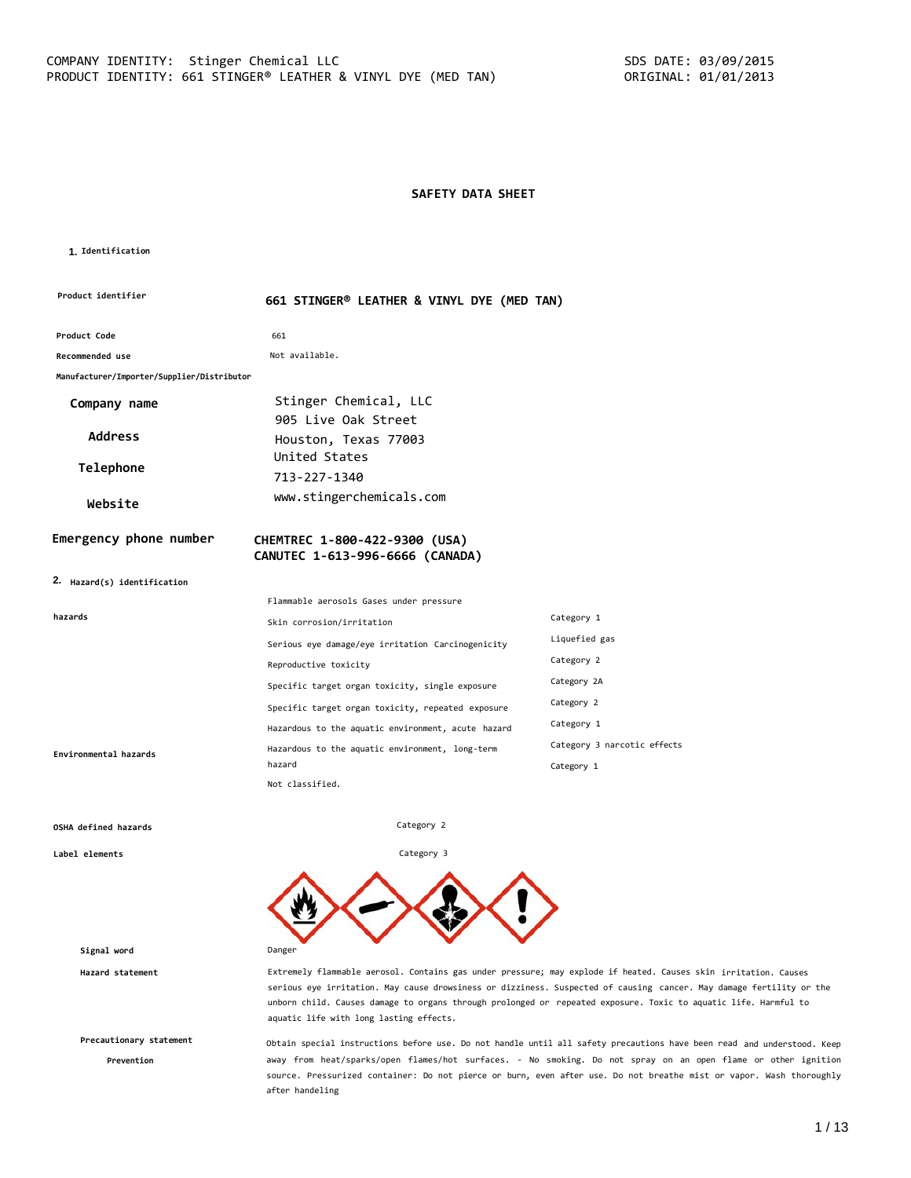# **SAFETY DATA SHEET**

#### **1. Identification**

| Product identifier                                    | 661 STINGER® LEATHER & VINYL DYE (MED TAN)                       |                             |  |
|-------------------------------------------------------|------------------------------------------------------------------|-----------------------------|--|
| Product Code                                          | 661                                                              |                             |  |
| <b>Recommended use</b>                                | Not available.                                                   |                             |  |
| Manufacturer/Importer/Supplier/Distributor            |                                                                  |                             |  |
| Company name                                          | Stinger Chemical, LLC                                            |                             |  |
|                                                       | 905 Live Oak Street                                              |                             |  |
| <b>Address</b>                                        | Houston, Texas 77003                                             |                             |  |
| Telephone                                             | United States                                                    |                             |  |
|                                                       | 713-227-1340                                                     |                             |  |
| Website                                               | www.stingerchemicals.com                                         |                             |  |
| Emergency phone number<br>2. Hazard(s) identification | CHEMTREC 1-800-422-9300 (USA)<br>CANUTEC 1-613-996-6666 (CANADA) |                             |  |
|                                                       | Flammable aerosols Gases under pressure                          |                             |  |
| hazards                                               | Skin corrosion/irritation                                        | Category 1                  |  |
|                                                       | Serious eye damage/eye irritation Carcinogenicity                | Liquefied gas               |  |
|                                                       | Reproductive toxicity                                            | Category 2                  |  |
|                                                       | Specific target organ toxicity, single exposure                  | Category 2A                 |  |
|                                                       | Specific target organ toxicity, repeated exposure                | Category 2                  |  |
|                                                       | Hazardous to the aquatic environment, acute hazard               | Category 1                  |  |
| Environmental hazards                                 |                                                                  | Category 3 narcotic effects |  |
|                                                       | Hazardous to the aquatic environment, long-term                  |                             |  |
|                                                       | hazard<br>Not classified.                                        | Category 1                  |  |

Category 2

Category 3

#### **OSHA defined hazards**

**Label elements**

**Signal word** Danger

**Precautionary statement**

**Prevention**

**Hazard statement** Extremely flammable aerosol. Contains gas under pressure; may explode if heated. Causes skin irritation. Causes serious eye irritation. May cause drowsiness or dizziness. Suspected of causing cancer. May damage fertility or the unborn child. Causes damage to organs through prolonged or repeated exposure. Toxic to aquatic life. Harmful to aquatic life with long lasting effects.

> Obtain special instructions before use. Do not handle until all safety precautions have been read and understood. Keep away from heat/sparks/open flames/hot surfaces. - No smoking. Do not spray on an open flame or other ignition source. Pressurized container: Do not pierce or burn, even after use. Do not breathe mist or vapor. Wash thoroughly after handeling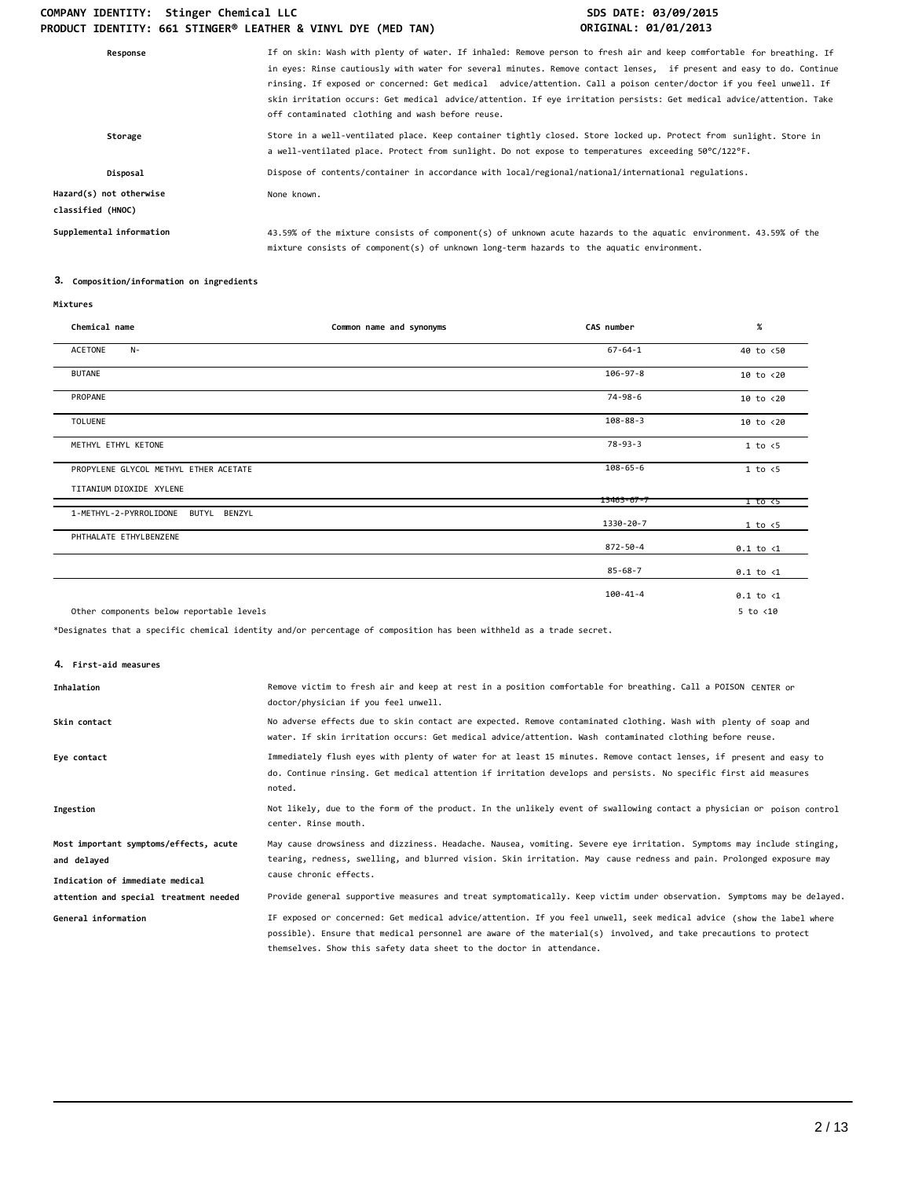| Response                                     | If on skin: Wash with plenty of water. If inhaled: Remove person to fresh air and keep comfortable for breathing. If<br>in eyes: Rinse cautiously with water for several minutes. Remove contact lenses, if present and easy to do. Continue<br>rinsing. If exposed or concerned: Get medical advice/attention. Call a poison center/doctor if you feel unwell. If<br>skin irritation occurs: Get medical advice/attention. If eye irritation persists: Get medical advice/attention. Take<br>off contaminated clothing and wash before reuse. |
|----------------------------------------------|------------------------------------------------------------------------------------------------------------------------------------------------------------------------------------------------------------------------------------------------------------------------------------------------------------------------------------------------------------------------------------------------------------------------------------------------------------------------------------------------------------------------------------------------|
| Storage                                      | Store in a well-ventilated place. Keep container tightly closed. Store locked up. Protect from sunlight. Store in<br>a well-ventilated place. Protect from sunlight. Do not expose to temperatures exceeding 50°C/122°F.                                                                                                                                                                                                                                                                                                                       |
| Disposal                                     | Dispose of contents/container in accordance with local/regional/national/international regulations.                                                                                                                                                                                                                                                                                                                                                                                                                                            |
| Hazard(s) not otherwise<br>classified (HNOC) | None known.                                                                                                                                                                                                                                                                                                                                                                                                                                                                                                                                    |
| Supplemental information                     | 43.59% of the mixture consists of component(s) of unknown acute hazards to the aquatic environment. 43.59% of the<br>mixture consists of component(s) of unknown long-term hazards to the aquatic environment.                                                                                                                                                                                                                                                                                                                                 |
|                                              |                                                                                                                                                                                                                                                                                                                                                                                                                                                                                                                                                |

# **3. Composition/information on ingredients**

| Chemical name                            | Common name and synonyms | CAS number     | $\%$                 |
|------------------------------------------|--------------------------|----------------|----------------------|
| ACETONE<br>$N-$                          |                          | $67 - 64 - 1$  | 40 to <50            |
| <b>BUTANE</b>                            |                          | $106 - 97 - 8$ | $10$ to $< 20$       |
| PROPANE                                  |                          | $74 - 98 - 6$  | $10$ to $< 20$       |
| <b>TOLUENE</b>                           |                          | $108 - 88 - 3$ | $10$ to $< 20$       |
| METHYL ETHYL KETONE                      |                          | $78 - 93 - 3$  | 1 to < 5             |
| PROPYLENE GLYCOL METHYL ETHER ACETATE    |                          | $108 - 65 - 6$ | 1 to < 5             |
| TITANIUM DIOXIDE XYLENE                  |                          | 13463-67-7     | 1 to <5              |
| 1-METHYL-2-PYRROLIDONE<br>BUTYL BENZYL   |                          |                |                      |
|                                          |                          | 1330-20-7      | 1 to < 5             |
| PHTHALATE ETHYLBENZENE                   |                          | 872-50-4       | $0.1$ to $\langle 1$ |
|                                          |                          | $85 - 68 - 7$  | $0.1$ to $\langle 1$ |
|                                          |                          | $100 - 41 - 4$ | $0.1$ to $\langle 1$ |
| Other components below reportable levels |                          |                | $5$ to $< 10$        |

\*Designates that a specific chemical identity and/or percentage of composition has been withheld as a trade secret.

**4. First-aid measures**

| Inhalation                                                                               | Remove victim to fresh air and keep at rest in a position comfortable for breathing. Call a POISON CENTER or<br>doctor/physician if you feel unwell.                                                                                                                                                            |
|------------------------------------------------------------------------------------------|-----------------------------------------------------------------------------------------------------------------------------------------------------------------------------------------------------------------------------------------------------------------------------------------------------------------|
| Skin contact                                                                             | No adverse effects due to skin contact are expected. Remove contaminated clothing. Wash with plenty of soap and<br>water. If skin irritation occurs: Get medical advice/attention. Wash contaminated clothing before reuse.                                                                                     |
| Eye contact                                                                              | Immediately flush eyes with plenty of water for at least 15 minutes. Remove contact lenses, if present and easy to<br>do. Continue rinsing. Get medical attention if irritation develops and persists. No specific first aid measures<br>noted.                                                                 |
| Ingestion                                                                                | Not likely, due to the form of the product. In the unlikely event of swallowing contact a physician or poison control<br>center. Rinse mouth.                                                                                                                                                                   |
| Most important symptoms/effects, acute<br>and delayed<br>Indication of immediate medical | May cause drowsiness and dizziness. Headache. Nausea, vomiting. Severe eye irritation. Symptoms may include stinging,<br>tearing, redness, swelling, and blurred vision. Skin irritation. May cause redness and pain. Prolonged exposure may<br>cause chronic effects.                                          |
| attention and special treatment needed                                                   | Provide general supportive measures and treat symptomatically. Keep victim under observation. Symptoms may be delayed.                                                                                                                                                                                          |
| General information                                                                      | IF exposed or concerned: Get medical advice/attention. If you feel unwell, seek medical advice (show the label where<br>possible). Ensure that medical personnel are aware of the material(s) involved, and take precautions to protect<br>themselves. Show this safety data sheet to the doctor in attendance. |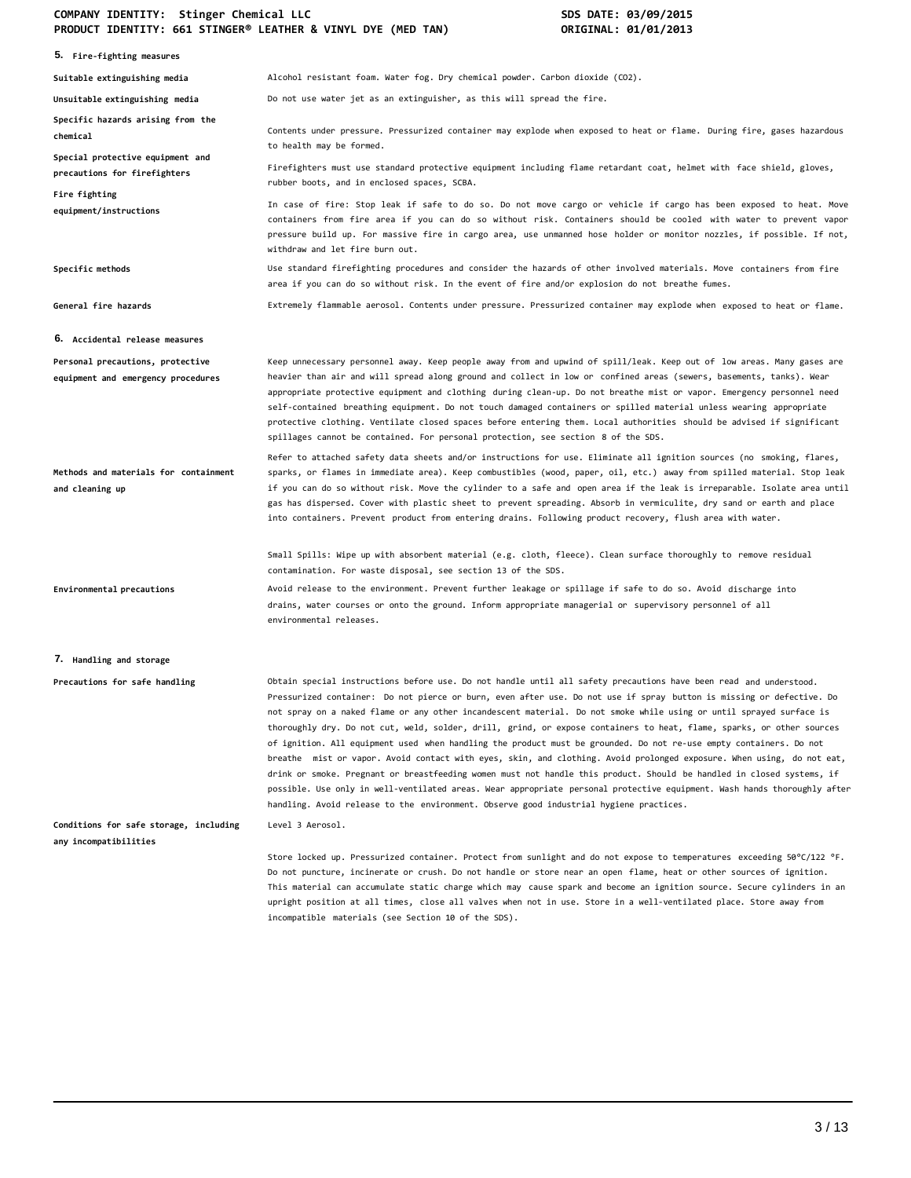| FRODOCT IDENTITI, OUI JIINOER EEATHER & VINTE DIE (MED TAN)            | <b>UNIUINAL, UI/UI/401J</b>                                                                                                                                                                                                                                                                                                                                                                                                                                                                                                                                                                                                                                                                                                                                                                                                                                                                                                                                                                                                                                                             |
|------------------------------------------------------------------------|-----------------------------------------------------------------------------------------------------------------------------------------------------------------------------------------------------------------------------------------------------------------------------------------------------------------------------------------------------------------------------------------------------------------------------------------------------------------------------------------------------------------------------------------------------------------------------------------------------------------------------------------------------------------------------------------------------------------------------------------------------------------------------------------------------------------------------------------------------------------------------------------------------------------------------------------------------------------------------------------------------------------------------------------------------------------------------------------|
| 5. Fire-fighting measures                                              |                                                                                                                                                                                                                                                                                                                                                                                                                                                                                                                                                                                                                                                                                                                                                                                                                                                                                                                                                                                                                                                                                         |
| Suitable extinguishing media                                           | Alcohol resistant foam. Water fog. Dry chemical powder. Carbon dioxide (CO2).                                                                                                                                                                                                                                                                                                                                                                                                                                                                                                                                                                                                                                                                                                                                                                                                                                                                                                                                                                                                           |
| Unsuitable extinguishing media                                         | Do not use water jet as an extinguisher, as this will spread the fire.                                                                                                                                                                                                                                                                                                                                                                                                                                                                                                                                                                                                                                                                                                                                                                                                                                                                                                                                                                                                                  |
| Specific hazards arising from the<br>chemical                          | Contents under pressure. Pressurized container may explode when exposed to heat or flame. During fire, gases hazardous<br>to health may be formed.                                                                                                                                                                                                                                                                                                                                                                                                                                                                                                                                                                                                                                                                                                                                                                                                                                                                                                                                      |
| Special protective equipment and<br>precautions for firefighters       | Firefighters must use standard protective equipment including flame retardant coat, helmet with face shield, gloves,<br>rubber boots, and in enclosed spaces, SCBA.                                                                                                                                                                                                                                                                                                                                                                                                                                                                                                                                                                                                                                                                                                                                                                                                                                                                                                                     |
| Fire fighting<br>equipment/instructions                                | In case of fire: Stop leak if safe to do so. Do not move cargo or vehicle if cargo has been exposed to heat. Move<br>containers from fire area if you can do so without risk. Containers should be cooled with water to prevent vapor<br>pressure build up. For massive fire in cargo area, use unmanned hose holder or monitor nozzles, if possible. If not,<br>withdraw and let fire burn out.                                                                                                                                                                                                                                                                                                                                                                                                                                                                                                                                                                                                                                                                                        |
| Specific methods                                                       | Use standard firefighting procedures and consider the hazards of other involved materials. Move containers from fire<br>area if you can do so without risk. In the event of fire and/or explosion do not breathe fumes.                                                                                                                                                                                                                                                                                                                                                                                                                                                                                                                                                                                                                                                                                                                                                                                                                                                                 |
| General fire hazards                                                   | Extremely flammable aerosol. Contents under pressure. Pressurized container may explode when exposed to heat or flame.                                                                                                                                                                                                                                                                                                                                                                                                                                                                                                                                                                                                                                                                                                                                                                                                                                                                                                                                                                  |
| 6. Accidental release measures                                         |                                                                                                                                                                                                                                                                                                                                                                                                                                                                                                                                                                                                                                                                                                                                                                                                                                                                                                                                                                                                                                                                                         |
| Personal precautions, protective<br>equipment and emergency procedures | Keep unnecessary personnel away. Keep people away from and upwind of spill/leak. Keep out of low areas. Many gases are<br>heavier than air and will spread along ground and collect in low or confined areas (sewers, basements, tanks). Wear<br>appropriate protective equipment and clothing during clean-up. Do not breathe mist or vapor. Emergency personnel need<br>self-contained breathing equipment. Do not touch damaged containers or spilled material unless wearing appropriate<br>protective clothing. Ventilate closed spaces before entering them. Local authorities should be advised if significant<br>spillages cannot be contained. For personal protection, see section 8 of the SDS.                                                                                                                                                                                                                                                                                                                                                                              |
| Methods and materials for containment<br>and cleaning up               | Refer to attached safety data sheets and/or instructions for use. Eliminate all ignition sources (no smoking, flares,<br>sparks, or flames in immediate area). Keep combustibles (wood, paper, oil, etc.) away from spilled material. Stop leak<br>if you can do so without risk. Move the cylinder to a safe and open area if the leak is irreparable. Isolate area until<br>gas has dispersed. Cover with plastic sheet to prevent spreading. Absorb in vermiculite, dry sand or earth and place<br>into containers. Prevent product from entering drains. Following product recovery, flush area with water.                                                                                                                                                                                                                                                                                                                                                                                                                                                                         |
|                                                                        | Small Spills: Wipe up with absorbent material (e.g. cloth, fleece). Clean surface thoroughly to remove residual<br>contamination. For waste disposal, see section 13 of the SDS.                                                                                                                                                                                                                                                                                                                                                                                                                                                                                                                                                                                                                                                                                                                                                                                                                                                                                                        |
| Environmental precautions                                              | Avoid release to the environment. Prevent further leakage or spillage if safe to do so. Avoid discharge into<br>drains, water courses or onto the ground. Inform appropriate managerial or supervisory personnel of all<br>environmental releases.                                                                                                                                                                                                                                                                                                                                                                                                                                                                                                                                                                                                                                                                                                                                                                                                                                      |
| 7. Handling and storage                                                |                                                                                                                                                                                                                                                                                                                                                                                                                                                                                                                                                                                                                                                                                                                                                                                                                                                                                                                                                                                                                                                                                         |
| Precautions for safe handling                                          | Obtain special instructions before use. Do not handle until all safety precautions have been read and understood.<br>Pressurized container: Do not pierce or burn, even after use. Do not use if sprav button is missing or defective. Do<br>not spray on a naked flame or any other incandescent material. Do not smoke while using or until sprayed surface is<br>thoroughly dry. Do not cut, weld, solder, drill, grind, or expose containers to heat, flame, sparks, or other sources<br>of ignition. All equipment used when handling the product must be grounded. Do not re-use empty containers. Do not<br>breathe mist or vapor. Avoid contact with eyes, skin, and clothing. Avoid prolonged exposure. When using, do not eat,<br>drink or smoke. Pregnant or breastfeeding women must not handle this product. Should be handled in closed systems, if<br>possible. Use only in well-ventilated areas. Wear appropriate personal protective equipment. Wash hands thoroughly after<br>handling. Avoid release to the environment. Observe good industrial hygiene practices. |
| Conditions for safe storage, including<br>any incompatibilities        | Level 3 Aerosol.                                                                                                                                                                                                                                                                                                                                                                                                                                                                                                                                                                                                                                                                                                                                                                                                                                                                                                                                                                                                                                                                        |
|                                                                        | Store locked up. Pressurized container. Protect from sunlight and do not expose to temperatures exceeding 50°C/122 °F.<br>Do not puncture, incinerate or crush. Do not handle or store near an open flame, heat or other sources of ignition.<br>This material can accumulate static charge which may cause spark and become an ignition source. Secure cylinders in an<br>upright position at all times, close all valves when not in use. Store in a well-ventilated place. Store away from<br>incompatible materials (see Section 10 of the SDS).                                                                                                                                                                                                                                                                                                                                                                                                                                                                                                                                    |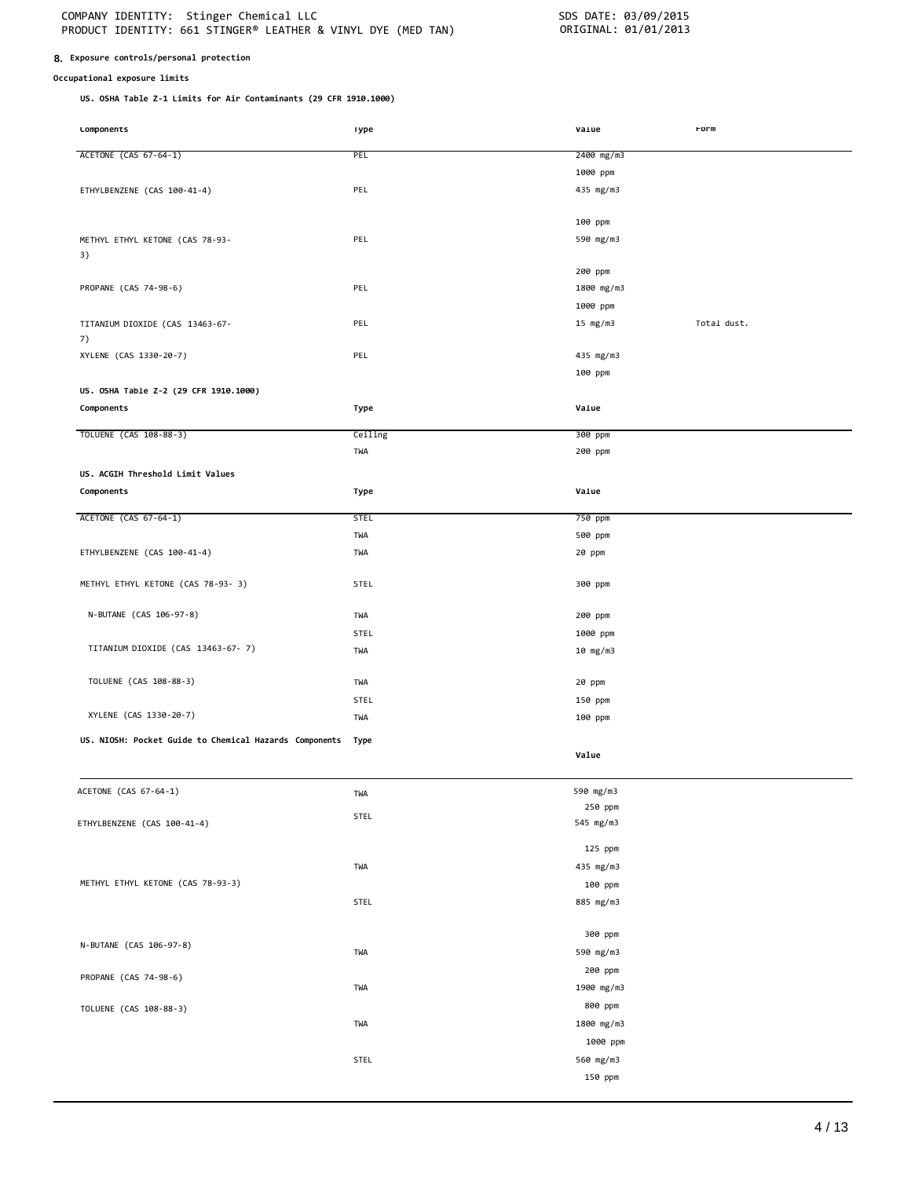# **8. Exposure controls/personal protection**

# **Occupational exposure limits**

**US. OSHA Table Z-1 Limits for Air Contaminants (29 CFR 1910.1000)**

| <b>LOMPONENTS</b>                                      | ıype        | vaiue      | rorm        |
|--------------------------------------------------------|-------------|------------|-------------|
|                                                        | PEL         |            |             |
| ACETONE (CAS 67-64-1)                                  |             | 2400 mg/m3 |             |
|                                                        |             | 1000 ppm   |             |
| ETHYLBENZENE (CAS 100-41-4)                            | PEL         | 435 mg/m3  |             |
|                                                        |             |            |             |
|                                                        |             | 100 ppm    |             |
| METHYL ETHYL KETONE (CAS 78-93-                        | PEL         | 590 mg/m3  |             |
| 3)                                                     |             |            |             |
|                                                        |             | 200 ppm    |             |
| PROPANE (CAS 74-98-6)                                  | PEL         | 1800 mg/m3 |             |
|                                                        |             | 1000 ppm   |             |
| TITANIUM DIOXIDE (CAS 13463-67-                        | PEL         | 15 $mg/m3$ | Total dust. |
| 7)                                                     |             |            |             |
| XYLENE (CAS 1330-20-7)                                 | PEL         | 435 mg/m3  |             |
|                                                        |             | 100 ppm    |             |
| US. OSHA Table Z-2 (29 CFR 1910.1000)                  |             |            |             |
|                                                        |             |            |             |
| Components                                             | Type        | Value      |             |
| TOLUENE (CAS 108-88-3)                                 | Ceiling     | 300 ppm    |             |
|                                                        | TWA         | 200 ppm    |             |
|                                                        |             |            |             |
| US. ACGIH Threshold Limit Values                       |             |            |             |
| Components                                             | Type        | Value      |             |
| ACETONE (CAS 67-64-1)                                  | <b>STEL</b> | 750 ppm    |             |
|                                                        | TWA         | 500 ppm    |             |
|                                                        |             |            |             |
| ETHYLBENZENE (CAS 100-41-4)                            | TWA         | 20 ppm     |             |
|                                                        |             |            |             |
| METHYL ETHYL KETONE (CAS 78-93- 3)                     | <b>STEL</b> | 300 ppm    |             |
| N-BUTANE (CAS 106-97-8)                                | TWA         | 200 ppm    |             |
|                                                        |             |            |             |
|                                                        | STEL        | 1000 ppm   |             |
| TITANIUM DIOXIDE (CAS 13463-67-7)                      | TWA         | 10 mg/m3   |             |
|                                                        |             |            |             |
| TOLUENE (CAS 108-88-3)                                 | TWA         | 20 ppm     |             |
|                                                        | STEL        | 150 ppm    |             |
| XYLENE (CAS 1330-20-7)                                 | TWA         | 100 ppm    |             |
| US. NIOSH: Pocket Guide to Chemical Hazards Components | Type        |            |             |
|                                                        |             | Value      |             |
|                                                        |             |            |             |
| ACETONE (CAS 67-64-1)                                  |             | 590 mg/m3  |             |
|                                                        | TWA         | 250 ppm    |             |
| ETHYLBENZENE (CAS 100-41-4)                            | STEL        | 545 mg/m3  |             |
|                                                        |             |            |             |
|                                                        |             | 125 ppm    |             |
|                                                        | TWA         | 435 mg/m3  |             |
| METHYL ETHYL KETONE (CAS 78-93-3)                      |             | 100 ppm    |             |
|                                                        | STEL        | 885 mg/m3  |             |
|                                                        |             |            |             |
|                                                        |             | 300 ppm    |             |
| N-BUTANE (CAS 106-97-8)                                |             |            |             |
|                                                        | TWA         | 590 mg/m3  |             |
| PROPANE (CAS 74-98-6)                                  |             | 200 ppm    |             |
|                                                        | TWA         | 1900 mg/m3 |             |
| TOLUENE (CAS 108-88-3)                                 |             | 800 ppm    |             |
|                                                        | TWA         | 1800 mg/m3 |             |
|                                                        |             | 1000 ppm   |             |
|                                                        | STEL        | 560 mg/m3  |             |
|                                                        |             | 150 ppm    |             |
|                                                        |             |            |             |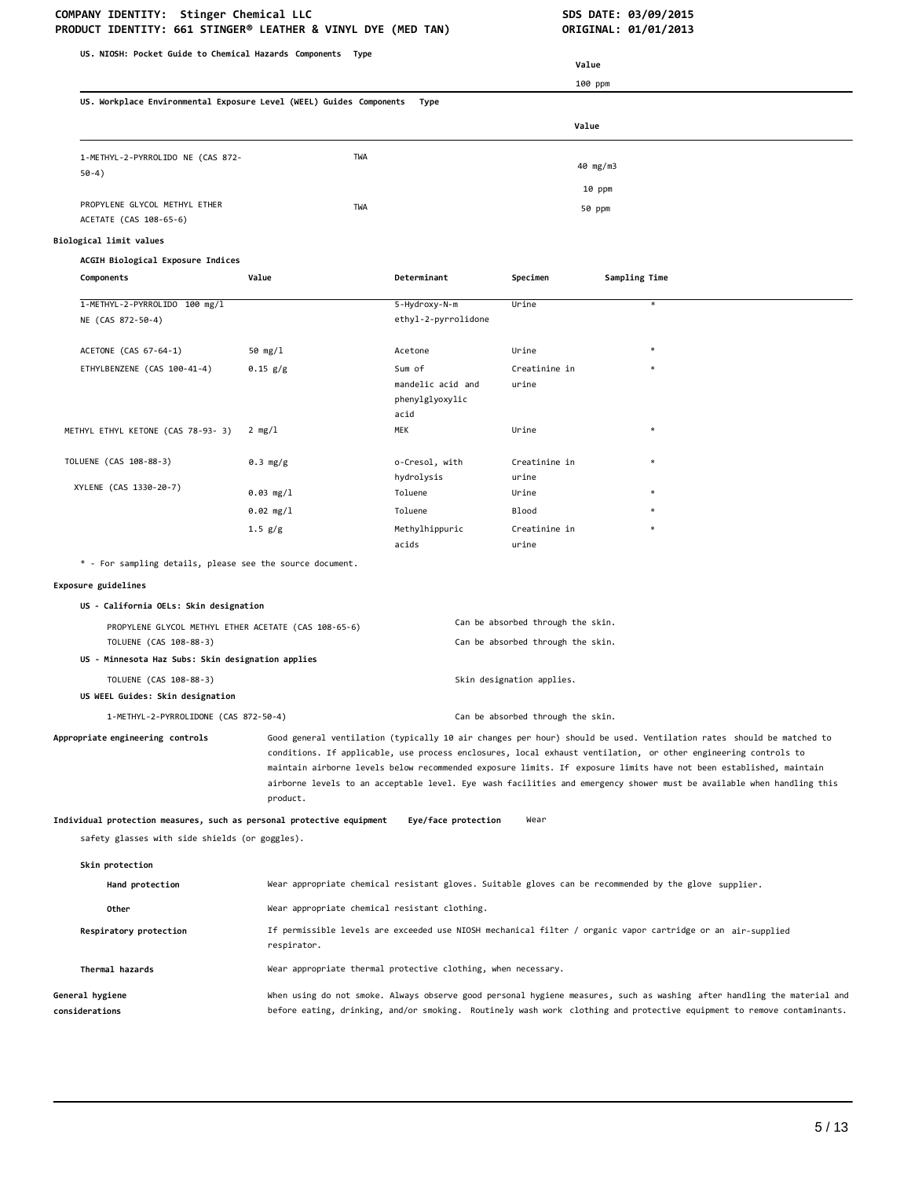**PRODUCT IDENTITY: 661 STINGER® LEATHER & VINYL DYE (MED TAN) US. NIOSH: Pocket Guide to Chemical Hazards Components Type US. Workplace Environmental Exposure Level (WEEL) Guides Components Type Value** 100 ppm **Value** 1-METHYL-2-PYRROLIDO NE (CAS 872- 50-4) PROPYLENE GLYCOL METHYL ETHER ACETATE (CAS 108-65-6) **Biological limit values ACGIH Biological Exposure Indices** TWA 40 mg/m3 10 ppm TWA 50 ppm **Components Value Determinant Specimen Sampling Time** 1-METHYL-2-PYRROLIDO 100 mg/l 5-Hydroxy-N-m Urine \* NE (CAS 872-50-4) ACETONE (CAS 67-64-1) ethyl-2-pyrrolidone 50 mg/l Acetone Urine \* ETHYLBENZENE (CAS 100-41-4) 0.15 g/g Sum of mandelic acid and phenylglyoxylic acid Creatinine in urine METHYL ETHYL KETONE (CAS 78-93- 3) 2 mg/l MEK MEK Urine TOLUENE (CAS 108-88-3) 0.3 mg/g o-Cresol, with hydrolysis Creatinine in urine 0.03 mg/l Toluene Urine \* 0.02 mg/l Toluene Blood \* XYLENE (CAS 1330-20-7) 1.5 g/g Methylhippuric acids Creatinine in urine \* - For sampling details, please see the source document. **Exposure guidelines US - California OELs: Skin designation** PROPYLENE GLYCOL METHYL ETHER ACETATE (CAS 108-65-6) Can be absorbed through the skin. TOLUENE (CAS 108-88-3) Can be absorbed through the skin. **US - Minnesota Haz Subs: Skin designation applies** TOLUENE (CAS 108-88-3) Skin designation applies. **US WEEL Guides: Skin designation** 1-METHYL-2-PYRROLIDONE (CAS 872-50-4) Can be absorbed through the skin. **Appropriate engineering controls** Good general ventilation (typically 10 air changes per hour) should be used. Ventilation rates should be matched to conditions. If applicable, use process enclosures, local exhaust ventilation, or other engineering controls to maintain airborne levels below recommended exposure limits. If exposure limits have not been established, maintain airborne levels to an acceptable level. Eye wash facilities and emergency shower must be available when handling this product. **Individual protection measures, such as personal protective equipment Eye/face protection** Wear safety glasses with side shields (or goggles). **Skin protection Hand protection** Wear appropriate chemical resistant gloves. Suitable gloves can be recommended by the glove supplier. Other **Other** Wear appropriate chemical resistant clothing. **Respiratory protection** If permissible levels are exceeded use NIOSH mechanical filter / organic vapor cartridge or an air-supplied respirator. **Thermal hazards** Wear appropriate thermal protective clothing, when necessary. **General hygiene considerations** When using do not smoke. Always observe good personal hygiene measures, such as washing after handling the material and before eating, drinking, and/or smoking. Routinely wash work clothing and protective equipment to remove contaminants.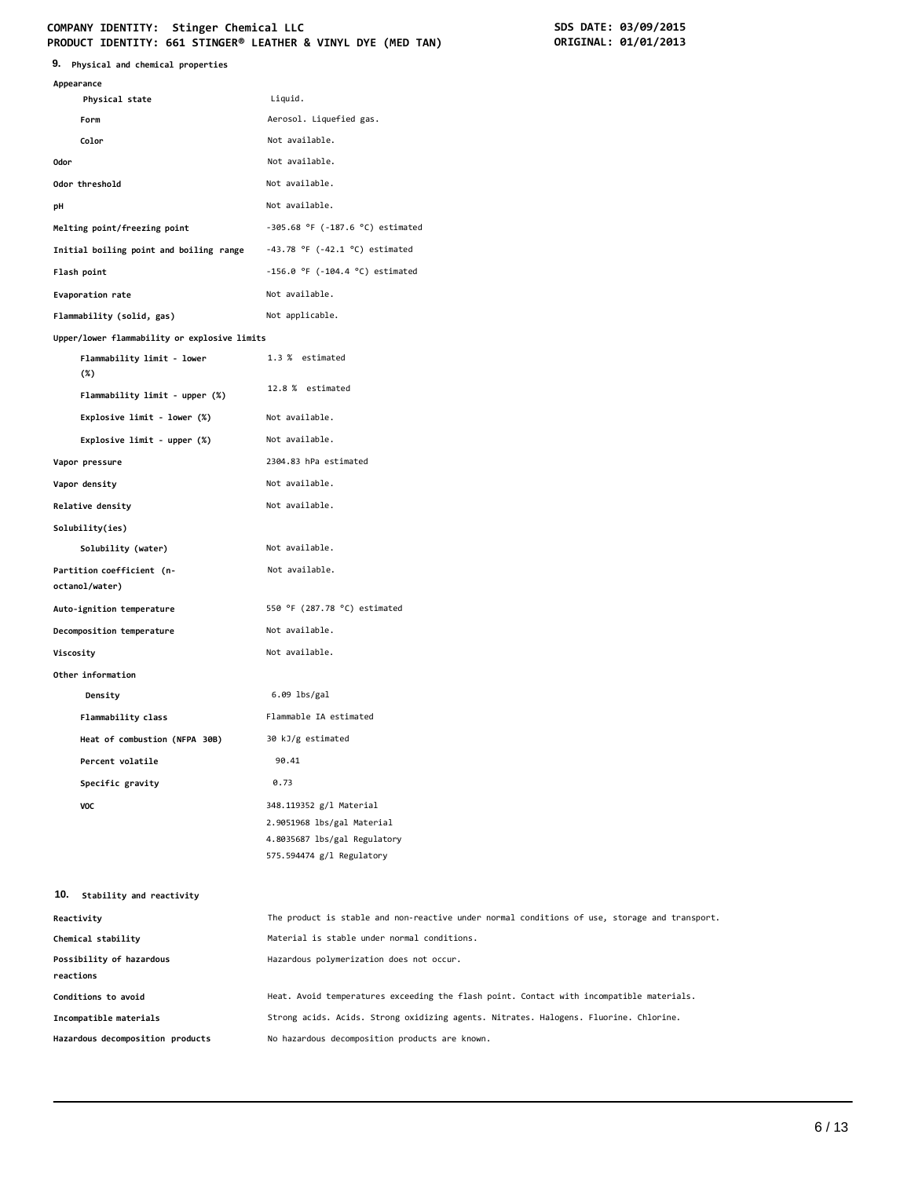# COMPANY IDENTITY: Stinger Chemical LLC<br>
PRODUCT IDENTITY: 661 STINGER® LEATHER & VINYL DYE (MED TAN) **SOMETAL: 01/01/2013 PRODUCT IDENTITY: 661 STINGER® LEATHER & VINYL DYE (MED TAN)**

| 9.<br>Physical and chemical properties       |                                                                                               |
|----------------------------------------------|-----------------------------------------------------------------------------------------------|
| Appearance                                   |                                                                                               |
| Physical state                               | Liquid.                                                                                       |
| Form                                         | Aerosol. Liquefied gas.                                                                       |
| Color                                        | Not available.                                                                                |
| <b>Odor</b>                                  | Not available.                                                                                |
| Odor threshold                               | Not available.                                                                                |
| рH                                           | Not available.                                                                                |
| Melting point/freezing point                 | $-305.68$ °F ( $-187.6$ °C) estimated                                                         |
| Initial boiling point and boiling range      | $-43.78$ °F ( $-42.1$ °C) estimated                                                           |
| Flash point                                  | $-156.0$ °F ( $-104.4$ °C) estimated                                                          |
| Evaporation rate                             | Not available.                                                                                |
| Flammability (solid, gas)                    | Not applicable.                                                                               |
| Upper/lower flammability or explosive limits |                                                                                               |
| Flammability limit - lower<br>$(\%)$         | 1.3 % estimated                                                                               |
| Flammability limit - upper (%)               | 12.8 % estimated                                                                              |
| Explosive limit - lower (%)                  | Not available.                                                                                |
| Explosive limit - upper (%)                  | Not available.                                                                                |
| Vapor pressure                               | 2304.83 hPa estimated                                                                         |
| Vapor density                                | Not available.                                                                                |
| Relative density                             | Not available.                                                                                |
| Solubility(ies)                              |                                                                                               |
| Solubility (water)                           | Not available.                                                                                |
| Partition coefficient (n-<br>octanol/water)  | Not available.                                                                                |
| Auto-ignition temperature                    | 550 °F (287.78 °C) estimated                                                                  |
| Decomposition temperature                    | Not available.                                                                                |
| Viscosity                                    | Not available.                                                                                |
| Other information                            |                                                                                               |
| Density                                      | 6.09 lbs/gal                                                                                  |
| Flammability class                           | Flammable IA estimated                                                                        |
| Heat of combustion (NFPA 30B)                | 30 kJ/g estimated                                                                             |
| Percent volatile                             | 90.41                                                                                         |
| Specific gravity                             | 0.73                                                                                          |
| VOC                                          | 348.119352 g/l Material                                                                       |
|                                              | 2.9051968 lbs/gal Material                                                                    |
|                                              | 4.8035687 lbs/gal Regulatory                                                                  |
|                                              | 575.594474 g/l Regulatory                                                                     |
| 10.<br>Stability and reactivity              |                                                                                               |
| Reactivity                                   | The product is stable and non-reactive under normal conditions of use, storage and transport. |
| Chemical stability                           | Material is stable under normal conditions.                                                   |
| Possibility of hazardous                     | Hazardous polymerization does not occur.                                                      |
| reactions                                    |                                                                                               |
| Conditions to avoid                          | Heat. Avoid temperatures exceeding the flash point. Contact with incompatible materials.      |
| Incompatible materials                       | Strong acids. Acids. Strong oxidizing agents. Nitrates. Halogens. Fluorine. Chlorine.         |
| Hazardous decomposition products             | No hazardous decomposition products are known.                                                |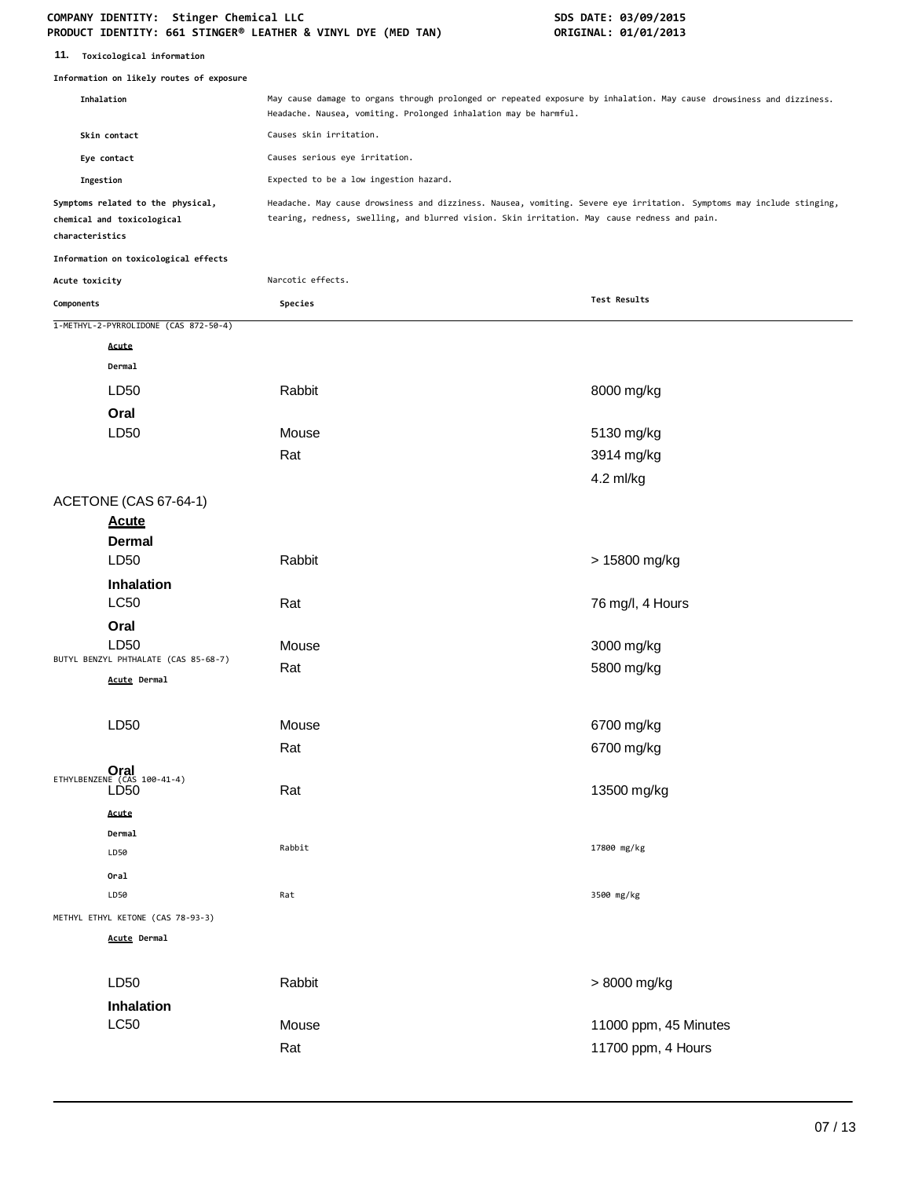| 11. |  | Toxicological information |
|-----|--|---------------------------|
|-----|--|---------------------------|

|                 | Information on likely routes of exposure                        |                                                                                                                                                                                                                       |                                             |  |
|-----------------|-----------------------------------------------------------------|-----------------------------------------------------------------------------------------------------------------------------------------------------------------------------------------------------------------------|---------------------------------------------|--|
| Inhalation      |                                                                 | May cause damage to organs through prolonged or repeated exposure by inhalation. May cause drowsiness and dizziness.<br>Headache. Nausea, vomiting. Prolonged inhalation may be harmful.                              |                                             |  |
|                 | Skin contact                                                    | Causes skin irritation.                                                                                                                                                                                               |                                             |  |
|                 | Eye contact                                                     | Causes serious eye irritation.                                                                                                                                                                                        |                                             |  |
| Ingestion       |                                                                 | Expected to be a low ingestion hazard.                                                                                                                                                                                |                                             |  |
| characteristics | Symptoms related to the physical,<br>chemical and toxicological | Headache. May cause drowsiness and dizziness. Nausea, vomiting. Severe eye irritation. Symptoms may include stinging,<br>tearing, redness, swelling, and blurred vision. Skin irritation. May cause redness and pain. |                                             |  |
|                 | Information on toxicological effects                            |                                                                                                                                                                                                                       |                                             |  |
| Acute toxicity  |                                                                 | Narcotic effects.                                                                                                                                                                                                     |                                             |  |
| Components      |                                                                 | Species                                                                                                                                                                                                               | Test Results                                |  |
|                 | 1-METHYL-2-PYRROLIDONE (CAS 872-50-4)                           |                                                                                                                                                                                                                       |                                             |  |
|                 | Acute                                                           |                                                                                                                                                                                                                       |                                             |  |
|                 | Dermal                                                          |                                                                                                                                                                                                                       |                                             |  |
|                 | LD50                                                            | Rabbit                                                                                                                                                                                                                | 8000 mg/kg                                  |  |
|                 | Oral                                                            |                                                                                                                                                                                                                       |                                             |  |
|                 | LD <sub>50</sub>                                                | Mouse                                                                                                                                                                                                                 | 5130 mg/kg                                  |  |
|                 |                                                                 | Rat                                                                                                                                                                                                                   | 3914 mg/kg                                  |  |
|                 |                                                                 |                                                                                                                                                                                                                       | 4.2 ml/kg                                   |  |
|                 | ACETONE (CAS 67-64-1)<br><b>Acute</b><br><b>Dermal</b>          |                                                                                                                                                                                                                       |                                             |  |
|                 | LD50                                                            | Rabbit                                                                                                                                                                                                                | > 15800 mg/kg                               |  |
|                 | Inhalation<br><b>LC50</b>                                       | Rat                                                                                                                                                                                                                   | 76 mg/l, 4 Hours                            |  |
|                 | Oral                                                            |                                                                                                                                                                                                                       |                                             |  |
|                 | LD50<br>BUTYL BENZYL PHTHALATE (CAS 85-68-7)                    | Mouse                                                                                                                                                                                                                 | 3000 mg/kg                                  |  |
|                 | Acute Dermal                                                    | Rat                                                                                                                                                                                                                   | 5800 mg/kg                                  |  |
|                 | LD50                                                            | Mouse                                                                                                                                                                                                                 | 6700 mg/kg                                  |  |
|                 |                                                                 | Rat                                                                                                                                                                                                                   | 6700 mg/kg                                  |  |
|                 | ETHYLBENZENE (CAS 100-41-4)<br>LD <sub>50</sub>                 | Rat                                                                                                                                                                                                                   | 13500 mg/kg                                 |  |
|                 | Acute<br>Dermal<br>LD50<br>Oral                                 | Rabbit                                                                                                                                                                                                                | 17800 mg/kg                                 |  |
|                 | LD50                                                            | Rat                                                                                                                                                                                                                   | 3500 mg/kg                                  |  |
|                 | METHYL ETHYL KETONE (CAS 78-93-3)                               |                                                                                                                                                                                                                       |                                             |  |
|                 | Acute Dermal                                                    |                                                                                                                                                                                                                       |                                             |  |
|                 | LD50                                                            | Rabbit                                                                                                                                                                                                                | > 8000 mg/kg                                |  |
|                 | Inhalation<br>L <sub>C</sub> 50                                 | Mouse<br>Rat                                                                                                                                                                                                          | 11000 ppm, 45 Minutes<br>11700 ppm, 4 Hours |  |
|                 |                                                                 |                                                                                                                                                                                                                       |                                             |  |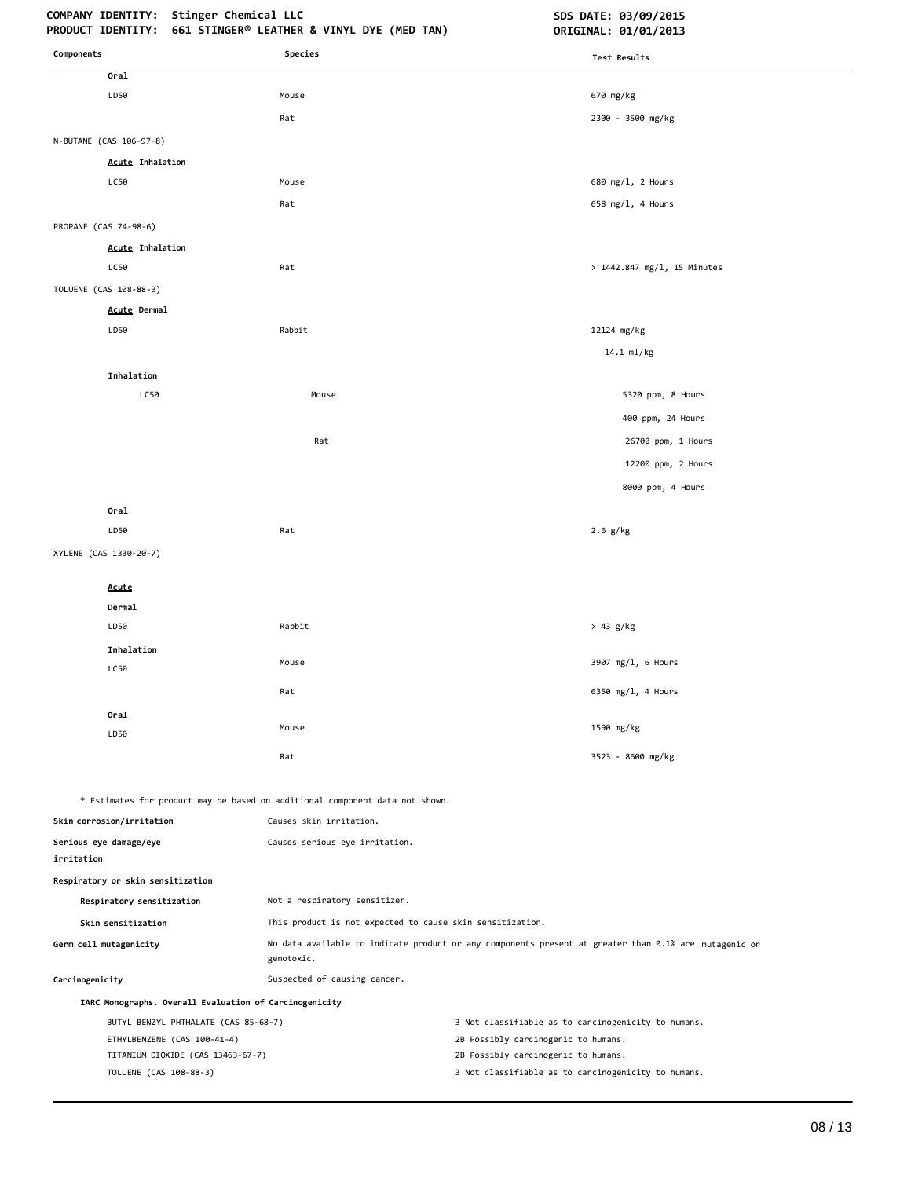| Components                                                       | Species                                                                      | Test Results                                                                                          |
|------------------------------------------------------------------|------------------------------------------------------------------------------|-------------------------------------------------------------------------------------------------------|
| Oral                                                             |                                                                              |                                                                                                       |
| LD50                                                             | Mouse                                                                        | 670 mg/kg                                                                                             |
|                                                                  | Rat                                                                          | 2300 - 3500 mg/kg                                                                                     |
| N-BUTANE (CAS 106-97-8)                                          |                                                                              |                                                                                                       |
| <b>Acute Inhalation</b>                                          |                                                                              |                                                                                                       |
| LC50                                                             | Mouse                                                                        | 680 mg/1, 2 Hours                                                                                     |
|                                                                  | Rat                                                                          | 658 mg/l, 4 Hours                                                                                     |
| PROPANE (CAS 74-98-6)                                            |                                                                              |                                                                                                       |
| <b>Acute Inhalation</b>                                          |                                                                              |                                                                                                       |
| LC50                                                             | Rat                                                                          | > 1442.847 mg/l, 15 Minutes                                                                           |
| TOLUENE (CAS 108-88-3)                                           |                                                                              |                                                                                                       |
| <b>Acute Dermal</b>                                              |                                                                              |                                                                                                       |
| LD50                                                             | Rabbit                                                                       | 12124 mg/kg                                                                                           |
|                                                                  |                                                                              | 14.1 ml/kg                                                                                            |
| Inhalation                                                       |                                                                              |                                                                                                       |
| LC50                                                             | Mouse                                                                        | 5320 ppm, 8 Hours                                                                                     |
|                                                                  |                                                                              | 400 ppm, 24 Hours                                                                                     |
|                                                                  | Rat                                                                          | 26700 ppm, 1 Hours                                                                                    |
|                                                                  |                                                                              | 12200 ppm, 2 Hours                                                                                    |
|                                                                  |                                                                              | 8000 ppm, 4 Hours                                                                                     |
| Oral                                                             |                                                                              |                                                                                                       |
| LD50                                                             | Rat                                                                          | $2.6$ g/kg                                                                                            |
| XYLENE (CAS 1330-20-7)                                           |                                                                              |                                                                                                       |
| Acute                                                            |                                                                              |                                                                                                       |
| Dermal                                                           |                                                                              |                                                                                                       |
| LD50                                                             | Rabbit                                                                       | > 43 g/kg                                                                                             |
| Inhalation                                                       |                                                                              |                                                                                                       |
| LC50                                                             | Mouse                                                                        | 3907 mg/l, 6 Hours                                                                                    |
|                                                                  | Rat                                                                          | 6350 mg/l, 4 Hours                                                                                    |
| Oral                                                             |                                                                              |                                                                                                       |
| LD50                                                             | Mouse                                                                        | 1590 mg/kg                                                                                            |
|                                                                  | Rat                                                                          | 3523 - 8600 mg/kg                                                                                     |
|                                                                  |                                                                              |                                                                                                       |
|                                                                  | * Estimates for product may be based on additional component data not shown. |                                                                                                       |
| Skin corrosion/irritation                                        | Causes skin irritation.                                                      |                                                                                                       |
| Serious eye damage/eye<br>irritation                             | Causes serious eye irritation.                                               |                                                                                                       |
| Respiratory or skin sensitization                                |                                                                              |                                                                                                       |
| Respiratory sensitization                                        | Not a respiratory sensitizer.                                                |                                                                                                       |
| Skin sensitization                                               | This product is not expected to cause skin sensitization.                    |                                                                                                       |
| Germ cell mutagenicity                                           | genotoxic.                                                                   | No data available to indicate product or any components present at greater than 0.1% are mutagenic or |
| Carcinogenicity                                                  | Suspected of causing cancer.                                                 |                                                                                                       |
| IARC Monographs. Overall Evaluation of Carcinogenicity           |                                                                              |                                                                                                       |
| BUTYL BENZYL PHTHALATE (CAS 85-68-7)                             |                                                                              | 3 Not classifiable as to carcinogenicity to humans.                                                   |
| ETHYLBENZENE (CAS 100-41-4)<br>TITANIUM DIOXIDE (CAS 13463-67-7) |                                                                              | 2B Possibly carcinogenic to humans.<br>2B Possibly carcinogenic to humans.                            |
|                                                                  |                                                                              |                                                                                                       |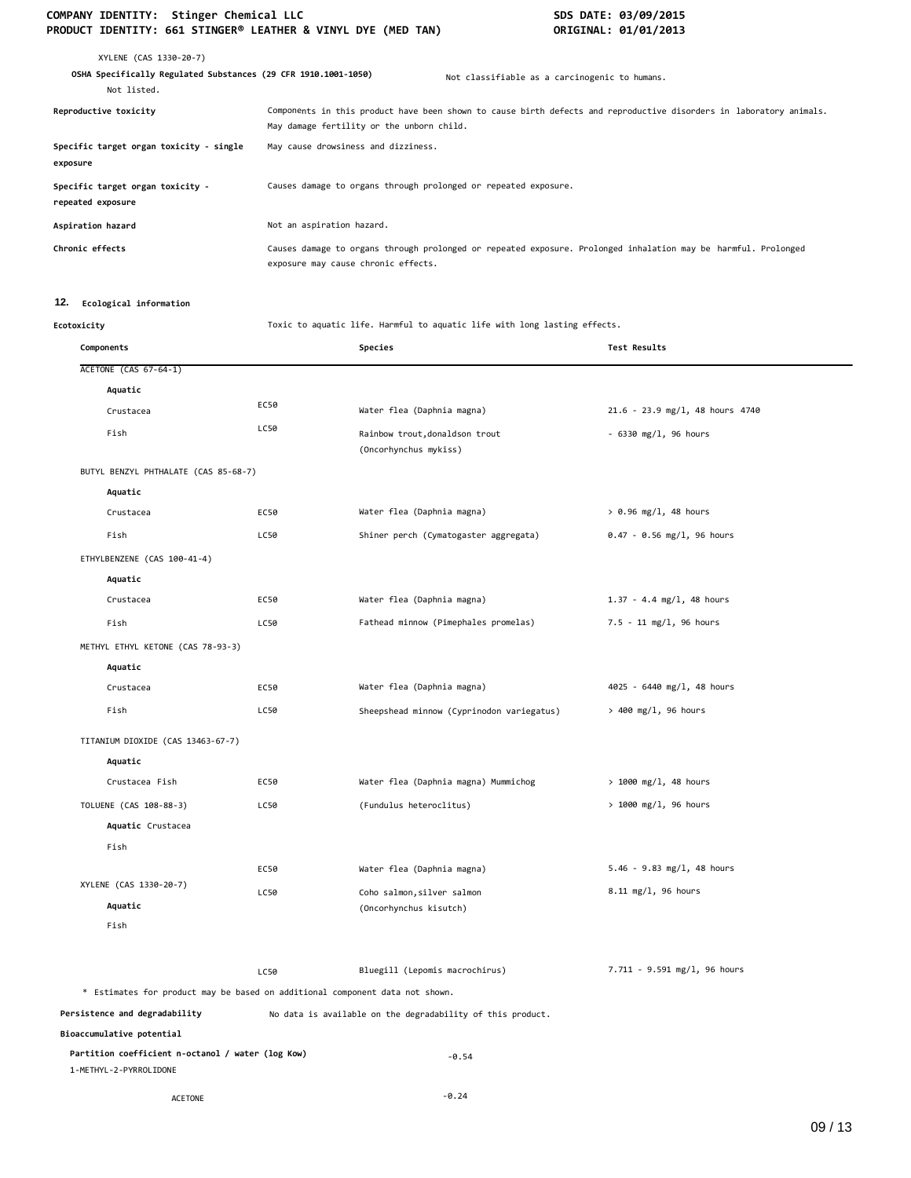# COMPANY IDENTITY: Stinger Chemical LLC<br>
PRODUCT IDENTITY: 661 STINGER® LEATHER & VINYL DYE (MED TAN) **SOMET AREA** ORIGINAL: 01/01/2013 **PRODUCT IDENTITY: 661 STINGER® LEATHER & VINYL DYE (MED TAN)**

| XYLENE (CAS 1330-20-7)<br>OSHA Specifically Regulated Substances (29 CFR 1910.1001-1050)<br>Not listed. |                                                                 | Not classifiable as a carcinogenic to humans.                                                                       |
|---------------------------------------------------------------------------------------------------------|-----------------------------------------------------------------|---------------------------------------------------------------------------------------------------------------------|
| Reproductive toxicity                                                                                   | May damage fertility or the unborn child.                       | Components in this product have been shown to cause birth defects and reproductive disorders in laboratory animals. |
| Specific target organ toxicity - single<br>exposure                                                     | May cause drowsiness and dizziness.                             |                                                                                                                     |
| Specific target organ toxicity -<br>repeated exposure                                                   | Causes damage to organs through prolonged or repeated exposure. |                                                                                                                     |
| Aspiration hazard                                                                                       | Not an aspiration hazard.                                       |                                                                                                                     |
| Chronic effects                                                                                         | exposure may cause chronic effects.                             | Causes damage to organs through prolonged or repeated exposure. Prolonged inhalation may be harmful. Prolonged      |

# **12. Ecological information**

**Ecotoxicity** Toxic to aquatic life. Harmful to aquatic life with long lasting effects.

| Components                                                                   |      | Species                                                    | <b>Test Results</b>             |
|------------------------------------------------------------------------------|------|------------------------------------------------------------|---------------------------------|
| <b>ACETONE (CAS 67-64-1)</b>                                                 |      |                                                            |                                 |
| Aquatic                                                                      |      |                                                            |                                 |
| Crustacea                                                                    | EC50 | Water flea (Daphnia magna)                                 | 21.6 - 23.9 mg/l, 48 hours 4740 |
| Fish                                                                         | LC50 | Rainbow trout, donaldson trout<br>(Oncorhynchus mykiss)    | $-6330$ mg/l, 96 hours          |
| BUTYL BENZYL PHTHALATE (CAS 85-68-7)                                         |      |                                                            |                                 |
| Aquatic                                                                      |      |                                                            |                                 |
| Crustacea                                                                    | EC50 | Water flea (Daphnia magna)                                 | $> 0.96$ mg/l, 48 hours         |
| Fish                                                                         | LC50 | Shiner perch (Cymatogaster aggregata)                      | $0.47 - 0.56$ mg/l, 96 hours    |
| ETHYLBENZENE (CAS 100-41-4)                                                  |      |                                                            |                                 |
| Aquatic                                                                      |      |                                                            |                                 |
| Crustacea                                                                    | EC50 | Water flea (Daphnia magna)                                 | $1.37 - 4.4$ mg/l, 48 hours     |
| Fish                                                                         | LC50 | Fathead minnow (Pimephales promelas)                       | 7.5 - 11 mg/l, 96 hours         |
| METHYL ETHYL KETONE (CAS 78-93-3)                                            |      |                                                            |                                 |
| Aquatic                                                                      |      |                                                            |                                 |
| Crustacea                                                                    | EC50 | Water flea (Daphnia magna)                                 | 4025 - 6440 mg/l, 48 hours      |
| Fish                                                                         | LC50 | Sheepshead minnow (Cyprinodon variegatus)                  | $> 400$ mg/l, 96 hours          |
| TITANIUM DIOXIDE (CAS 13463-67-7)                                            |      |                                                            |                                 |
| Aquatic                                                                      |      |                                                            |                                 |
| Crustacea Fish                                                               | EC50 | Water flea (Daphnia magna) Mummichog                       | $> 1000$ mg/l, 48 hours         |
| TOLUENE (CAS 108-88-3)                                                       | LC50 | (Fundulus heteroclitus)                                    | > 1000 mg/l, 96 hours           |
| Aquatic Crustacea                                                            |      |                                                            |                                 |
| Fish                                                                         |      |                                                            |                                 |
|                                                                              | EC50 | Water flea (Daphnia magna)                                 | $5.46 - 9.83$ mg/l, 48 hours    |
| XYLENE (CAS 1330-20-7)                                                       | LC50 | Coho salmon, silver salmon                                 | 8.11 mg/l, 96 hours             |
| Aquatic                                                                      |      | (Oncorhynchus kisutch)                                     |                                 |
| Fish                                                                         |      |                                                            |                                 |
|                                                                              | LC50 | Bluegill (Lepomis macrochirus)                             | 7.711 - 9.591 mg/l, 96 hours    |
| * Estimates for product may be based on additional component data not shown. |      |                                                            |                                 |
| Persistence and degradability                                                |      | No data is available on the degradability of this product. |                                 |
| Bioaccumulative potential                                                    |      |                                                            |                                 |
| Partition coefficient n-octanol / water (log Kow)<br>1-METHYL-2-PYRROLIDONE  |      | $-0.54$                                                    |                                 |
| <b>ACETONE</b>                                                               |      | $-0.24$                                                    |                                 |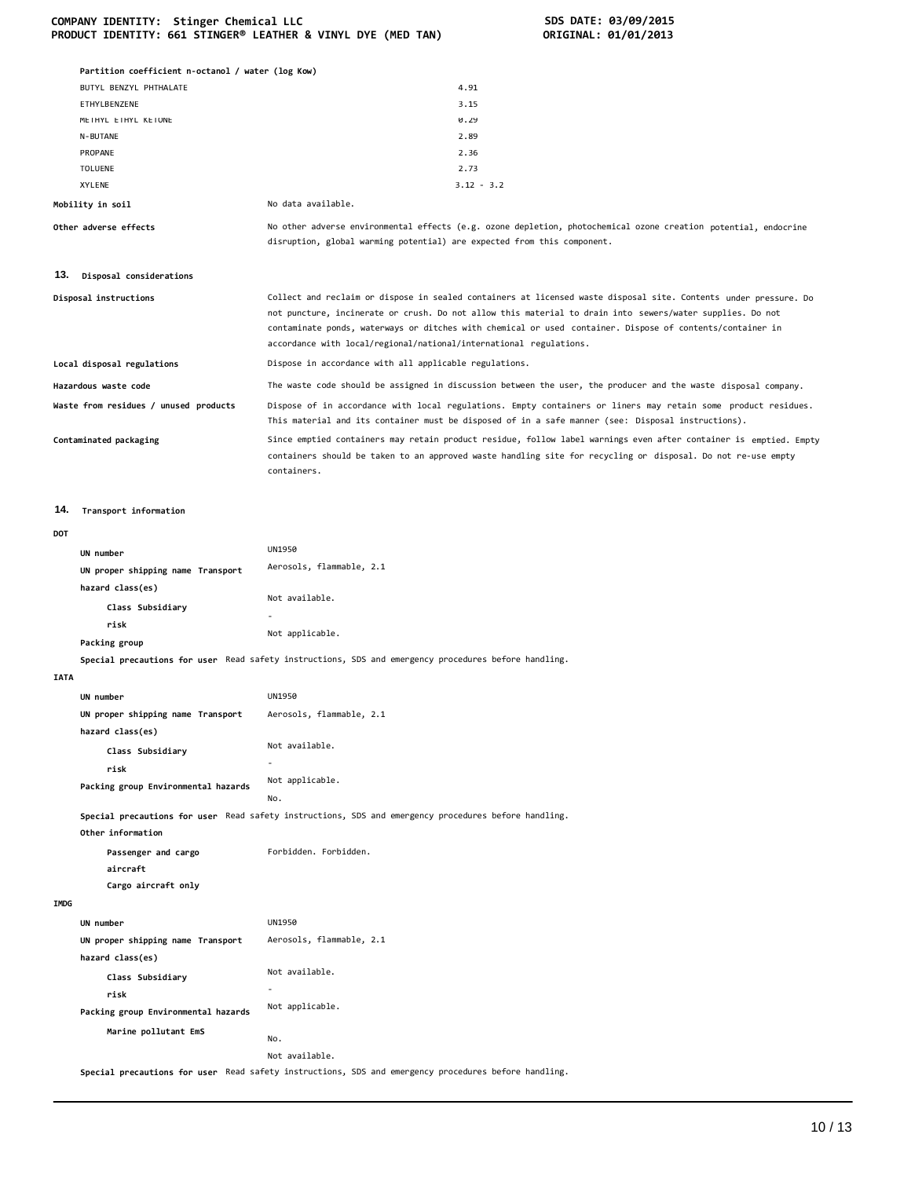|             | Partition coefficient n-octanol / water (log Kow) |                                                                                                                                                                                                                                                                                                                                                                                                                  |
|-------------|---------------------------------------------------|------------------------------------------------------------------------------------------------------------------------------------------------------------------------------------------------------------------------------------------------------------------------------------------------------------------------------------------------------------------------------------------------------------------|
|             | BUTYL BENZYL PHTHALATE<br>ETHYLBENZENE            | 4.91<br>3.15                                                                                                                                                                                                                                                                                                                                                                                                     |
|             | METHYL ETHYL KETONE                               | 0.29                                                                                                                                                                                                                                                                                                                                                                                                             |
|             | N-BUTANE                                          | 2.89                                                                                                                                                                                                                                                                                                                                                                                                             |
|             | PROPANE                                           | 2.36                                                                                                                                                                                                                                                                                                                                                                                                             |
|             | TOLUENE                                           | 2.73                                                                                                                                                                                                                                                                                                                                                                                                             |
|             | XYLENE                                            | $3.12 - 3.2$                                                                                                                                                                                                                                                                                                                                                                                                     |
|             | Mobility in soil                                  | No data available.                                                                                                                                                                                                                                                                                                                                                                                               |
|             | Other adverse effects                             | No other adverse environmental effects (e.g. ozone depletion, photochemical ozone creation potential, endocrine<br>disruption, global warming potential) are expected from this component.                                                                                                                                                                                                                       |
| 13.         | Disposal considerations                           |                                                                                                                                                                                                                                                                                                                                                                                                                  |
|             | Disposal instructions                             | Collect and reclaim or dispose in sealed containers at licensed waste disposal site. Contents under pressure. Do<br>not puncture, incinerate or crush. Do not allow this material to drain into sewers/water supplies. Do not<br>contaminate ponds, waterways or ditches with chemical or used container. Dispose of contents/container in<br>accordance with local/regional/national/international regulations. |
|             | Local disposal regulations                        | Dispose in accordance with all applicable regulations.                                                                                                                                                                                                                                                                                                                                                           |
|             | Hazardous waste code                              | The waste code should be assigned in discussion between the user, the producer and the waste disposal company.                                                                                                                                                                                                                                                                                                   |
|             | Waste from residues / unused products             | Dispose of in accordance with local regulations. Empty containers or liners may retain some product residues.<br>This material and its container must be disposed of in a safe manner (see: Disposal instructions).                                                                                                                                                                                              |
|             | Contaminated packaging                            | Since emptied containers may retain product residue, follow label warnings even after container is emptied. Empty<br>containers should be taken to an approved waste handling site for recycling or disposal. Do not re-use empty<br>containers.                                                                                                                                                                 |
| 14.         | Transport information                             |                                                                                                                                                                                                                                                                                                                                                                                                                  |
| DOT         |                                                   |                                                                                                                                                                                                                                                                                                                                                                                                                  |
|             | UN number                                         | UN1950                                                                                                                                                                                                                                                                                                                                                                                                           |
|             | UN proper shipping name Transport                 | Aerosols, flammable, 2.1                                                                                                                                                                                                                                                                                                                                                                                         |
|             | hazard class(es)                                  |                                                                                                                                                                                                                                                                                                                                                                                                                  |
|             | Class Subsidiary                                  | Not available.                                                                                                                                                                                                                                                                                                                                                                                                   |
|             | risk                                              |                                                                                                                                                                                                                                                                                                                                                                                                                  |
|             |                                                   | Not applicable.                                                                                                                                                                                                                                                                                                                                                                                                  |
|             | Packing group                                     | Special precautions for user Read safety instructions, SDS and emergency procedures before handling.                                                                                                                                                                                                                                                                                                             |
| <b>IATA</b> |                                                   |                                                                                                                                                                                                                                                                                                                                                                                                                  |
|             | UN number                                         | <b>UN1950</b>                                                                                                                                                                                                                                                                                                                                                                                                    |
|             | UN proper shipping name Transport                 | Aerosols, flammable, 2.1                                                                                                                                                                                                                                                                                                                                                                                         |
|             | hazard class(es)                                  |                                                                                                                                                                                                                                                                                                                                                                                                                  |
|             | Class Subsidiary                                  | Not available.                                                                                                                                                                                                                                                                                                                                                                                                   |
|             | risk                                              |                                                                                                                                                                                                                                                                                                                                                                                                                  |
|             | Packing group Environmental hazards               | Not applicable.                                                                                                                                                                                                                                                                                                                                                                                                  |
|             |                                                   | No.                                                                                                                                                                                                                                                                                                                                                                                                              |
|             | Other information                                 | Special precautions for user Read safety instructions, SDS and emergency procedures before handling.                                                                                                                                                                                                                                                                                                             |
|             | Passenger and cargo<br>aircraft                   | Forbidden. Forbidden.                                                                                                                                                                                                                                                                                                                                                                                            |
|             | Cargo aircraft only                               |                                                                                                                                                                                                                                                                                                                                                                                                                  |
| <b>IMDG</b> |                                                   |                                                                                                                                                                                                                                                                                                                                                                                                                  |
|             | UN number                                         | UN1950                                                                                                                                                                                                                                                                                                                                                                                                           |
|             | UN proper shipping name Transport                 | Aerosols, flammable, 2.1                                                                                                                                                                                                                                                                                                                                                                                         |
|             | hazard class(es)                                  |                                                                                                                                                                                                                                                                                                                                                                                                                  |
|             | Class Subsidiary                                  | Not available.                                                                                                                                                                                                                                                                                                                                                                                                   |
|             | risk                                              |                                                                                                                                                                                                                                                                                                                                                                                                                  |
|             | Packing group Environmental hazards               | Not applicable.                                                                                                                                                                                                                                                                                                                                                                                                  |
|             | Marine pollutant EmS                              |                                                                                                                                                                                                                                                                                                                                                                                                                  |
|             |                                                   | No.                                                                                                                                                                                                                                                                                                                                                                                                              |
|             |                                                   | Not available.                                                                                                                                                                                                                                                                                                                                                                                                   |

**Special precautions for user** Read safety instructions, SDS and emergency procedures before handling.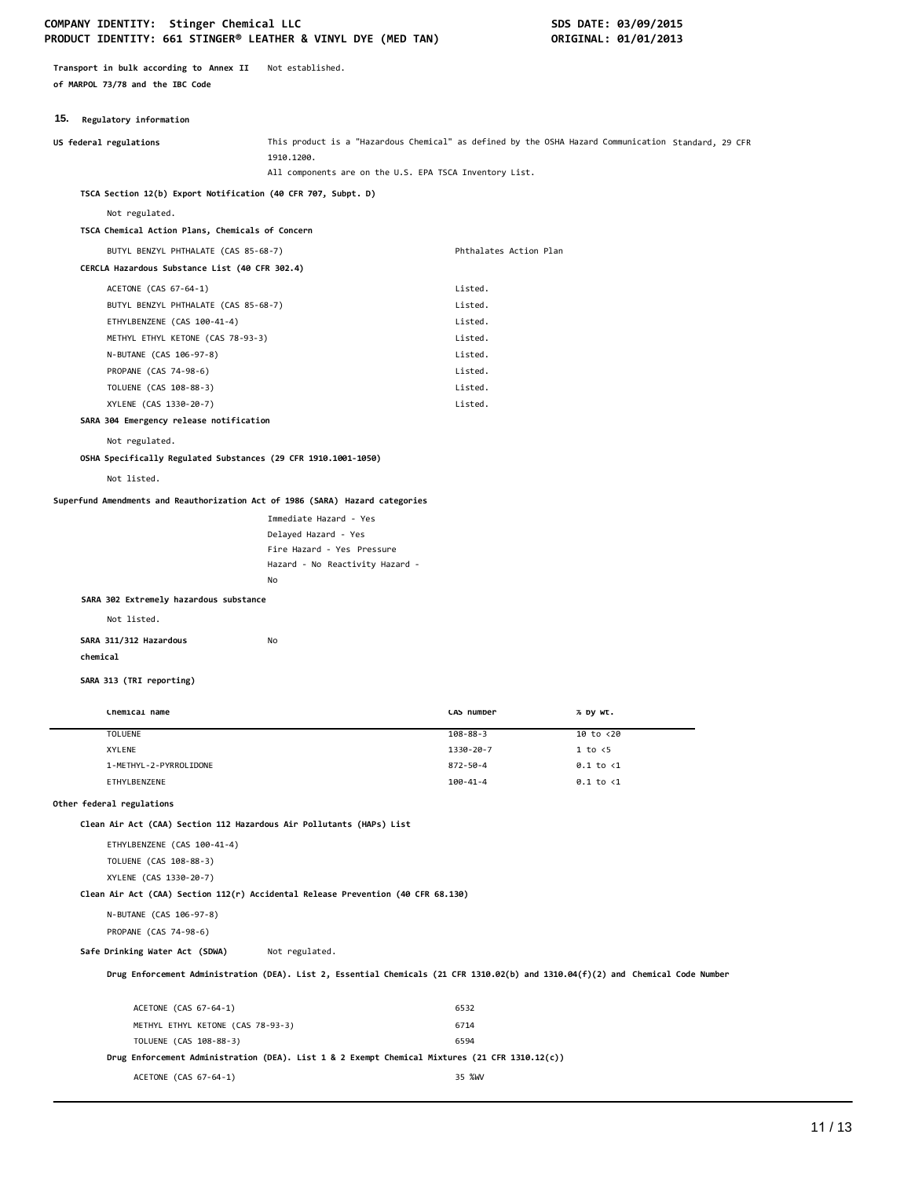**Transport in bulk according to Annex II** Not established. **of MARPOL 73/78 and the IBC Code**

# **15. Regulatory information**

| US federal regulations                                                           | 1910.1200.                                         | This product is a "Hazardous Chemical" as defined by the OSHA Hazard Communication Standard, 29 CFR                              |                      |  |
|----------------------------------------------------------------------------------|----------------------------------------------------|----------------------------------------------------------------------------------------------------------------------------------|----------------------|--|
|                                                                                  |                                                    | All components are on the U.S. EPA TSCA Inventory List.                                                                          |                      |  |
| TSCA Section 12(b) Export Notification (40 CFR 707, Subpt. D)                    |                                                    |                                                                                                                                  |                      |  |
| Not regulated.                                                                   |                                                    |                                                                                                                                  |                      |  |
| TSCA Chemical Action Plans, Chemicals of Concern                                 |                                                    |                                                                                                                                  |                      |  |
| BUTYL BENZYL PHTHALATE (CAS 85-68-7)                                             |                                                    | Phthalates Action Plan                                                                                                           |                      |  |
| CERCLA Hazardous Substance List (40 CFR 302.4)                                   |                                                    |                                                                                                                                  |                      |  |
| ACETONE (CAS 67-64-1)                                                            |                                                    | Listed.                                                                                                                          |                      |  |
| BUTYL BENZYL PHTHALATE (CAS 85-68-7)                                             |                                                    | Listed.                                                                                                                          |                      |  |
| ETHYLBENZENE (CAS 100-41-4)                                                      |                                                    | Listed.                                                                                                                          |                      |  |
| METHYL ETHYL KETONE (CAS 78-93-3)                                                |                                                    | Listed.                                                                                                                          |                      |  |
| N-BUTANE (CAS 106-97-8)                                                          |                                                    | Listed.                                                                                                                          |                      |  |
| PROPANE (CAS 74-98-6)                                                            |                                                    | Listed.                                                                                                                          |                      |  |
| TOLUENE (CAS 108-88-3)                                                           |                                                    | Listed.                                                                                                                          |                      |  |
| XYLENE (CAS 1330-20-7)                                                           |                                                    | Listed.                                                                                                                          |                      |  |
| SARA 304 Emergency release notification                                          |                                                    |                                                                                                                                  |                      |  |
| Not regulated.                                                                   |                                                    |                                                                                                                                  |                      |  |
| OSHA Specifically Regulated Substances (29 CFR 1910.1001-1050)                   |                                                    |                                                                                                                                  |                      |  |
| Not listed.                                                                      |                                                    |                                                                                                                                  |                      |  |
|                                                                                  |                                                    |                                                                                                                                  |                      |  |
| Superfund Amendments and Reauthorization Act of 1986 (SARA) Hazard categories    |                                                    |                                                                                                                                  |                      |  |
|                                                                                  | Immediate Hazard - Yes                             |                                                                                                                                  |                      |  |
|                                                                                  | Delayed Hazard - Yes<br>Fire Hazard - Yes Pressure |                                                                                                                                  |                      |  |
|                                                                                  | Hazard - No Reactivity Hazard -                    |                                                                                                                                  |                      |  |
|                                                                                  | No                                                 |                                                                                                                                  |                      |  |
| SARA 302 Extremely hazardous substance                                           |                                                    |                                                                                                                                  |                      |  |
| Not listed.                                                                      |                                                    |                                                                                                                                  |                      |  |
|                                                                                  |                                                    |                                                                                                                                  |                      |  |
| SARA 311/312 Hazardous                                                           | No                                                 |                                                                                                                                  |                      |  |
| chemical                                                                         |                                                    |                                                                                                                                  |                      |  |
| SARA 313 (TRI reporting)                                                         |                                                    |                                                                                                                                  |                      |  |
| Chemical name                                                                    |                                                    | CAS number                                                                                                                       | % by wt.             |  |
| <b>TOLUENE</b>                                                                   |                                                    | $108 - 88 - 3$                                                                                                                   | 10 to <20            |  |
| XYLENE                                                                           |                                                    | 1330-20-7                                                                                                                        | $1$ to $\leq$        |  |
| 1-METHYL-2-PYRROLIDONE                                                           |                                                    | 872-50-4                                                                                                                         | $0.1$ to $<$ 1       |  |
| ETHYLBENZENE                                                                     |                                                    | $100 - 41 - 4$                                                                                                                   | $0.1$ to $\langle 1$ |  |
| Other federal regulations                                                        |                                                    |                                                                                                                                  |                      |  |
| Clean Air Act (CAA) Section 112 Hazardous Air Pollutants (HAPs) List             |                                                    |                                                                                                                                  |                      |  |
| ETHYLBENZENE (CAS 100-41-4)                                                      |                                                    |                                                                                                                                  |                      |  |
| TOLUENE (CAS 108-88-3)                                                           |                                                    |                                                                                                                                  |                      |  |
| XYLENE (CAS 1330-20-7)                                                           |                                                    |                                                                                                                                  |                      |  |
| Clean Air Act (CAA) Section 112(r) Accidental Release Prevention (40 CFR 68.130) |                                                    |                                                                                                                                  |                      |  |
| N-BUTANE (CAS 106-97-8)                                                          |                                                    |                                                                                                                                  |                      |  |
| PROPANE (CAS 74-98-6)                                                            |                                                    |                                                                                                                                  |                      |  |
| Safe Drinking Water Act (SDWA)                                                   | Not regulated.                                     |                                                                                                                                  |                      |  |
|                                                                                  |                                                    |                                                                                                                                  |                      |  |
|                                                                                  |                                                    | Drug Enforcement Administration (DEA). List 2, Essential Chemicals (21 CFR 1310.02(b) and 1310.04(f)(2) and Chemical Code Number |                      |  |
|                                                                                  |                                                    |                                                                                                                                  |                      |  |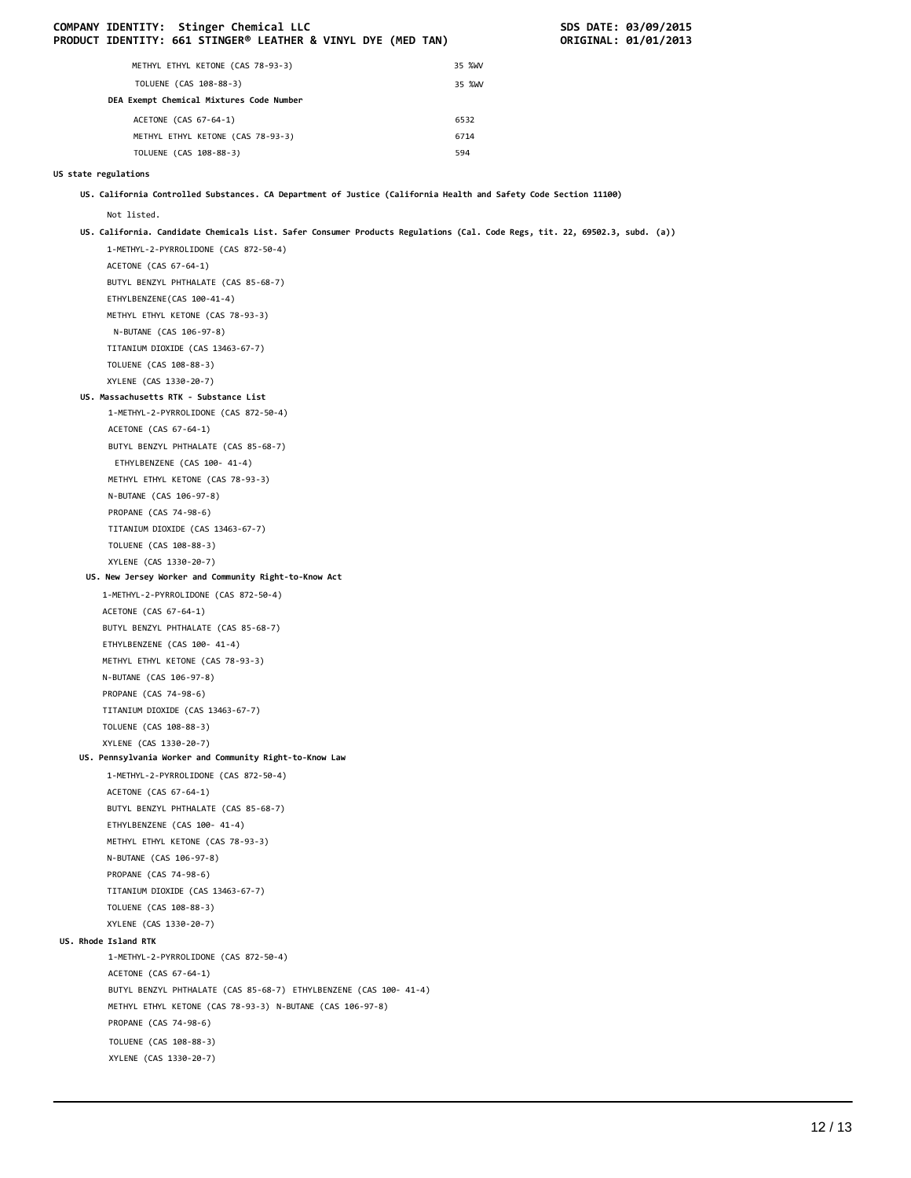|                      |                         | COMPANY IDENTITY: Stinger Chemical LLC<br>PRODUCT IDENTITY: 661 STINGER® LEATHER & VINYL DYE (MED TAN)                      |              | SDS DATE: 03/09/2015<br>ORIGINAL: 01/01/2013 |
|----------------------|-------------------------|-----------------------------------------------------------------------------------------------------------------------------|--------------|----------------------------------------------|
|                      |                         | METHYL ETHYL KETONE (CAS 78-93-3)                                                                                           | 35 %WV       |                                              |
|                      |                         | TOLUENE (CAS 108-88-3)                                                                                                      |              |                                              |
|                      |                         | DEA Exempt Chemical Mixtures Code Number                                                                                    | 35 %WV       |                                              |
|                      |                         |                                                                                                                             |              |                                              |
|                      |                         | ACETONE (CAS 67-64-1)                                                                                                       | 6532<br>6714 |                                              |
|                      |                         | METHYL ETHYL KETONE (CAS 78-93-3)<br>TOLUENE (CAS 108-88-3)                                                                 | 594          |                                              |
|                      |                         |                                                                                                                             |              |                                              |
| US state regulations |                         |                                                                                                                             |              |                                              |
|                      |                         | US. California Controlled Substances. CA Department of Justice (California Health and Safety Code Section 11100)            |              |                                              |
|                      | Not listed.             |                                                                                                                             |              |                                              |
|                      |                         | US. California. Candidate Chemicals List. Safer Consumer Products Regulations (Cal. Code Regs, tit. 22, 69502.3, subd. (a)) |              |                                              |
|                      |                         | 1-METHYL-2-PYRROLIDONE (CAS 872-50-4)                                                                                       |              |                                              |
|                      | ACETONE (CAS 67-64-1)   |                                                                                                                             |              |                                              |
|                      |                         | BUTYL BENZYL PHTHALATE (CAS 85-68-7)                                                                                        |              |                                              |
|                      |                         | ETHYLBENZENE(CAS 100-41-4)                                                                                                  |              |                                              |
|                      |                         | METHYL ETHYL KETONE (CAS 78-93-3)                                                                                           |              |                                              |
|                      | N-BUTANE (CAS 106-97-8) | TITANIUM DIOXIDE (CAS 13463-67-7)                                                                                           |              |                                              |
|                      | TOLUENE (CAS 108-88-3)  |                                                                                                                             |              |                                              |
|                      | XYLENE (CAS 1330-20-7)  |                                                                                                                             |              |                                              |
|                      |                         | US. Massachusetts RTK - Substance List                                                                                      |              |                                              |
|                      |                         | 1-METHYL-2-PYRROLIDONE (CAS 872-50-4)                                                                                       |              |                                              |
|                      | ACETONE (CAS 67-64-1)   |                                                                                                                             |              |                                              |
|                      |                         | BUTYL BENZYL PHTHALATE (CAS 85-68-7)                                                                                        |              |                                              |
|                      |                         | ETHYLBENZENE (CAS 100- 41-4)                                                                                                |              |                                              |
|                      |                         | METHYL ETHYL KETONE (CAS 78-93-3)                                                                                           |              |                                              |
|                      | N-BUTANE (CAS 106-97-8) |                                                                                                                             |              |                                              |
|                      | PROPANE (CAS 74-98-6)   |                                                                                                                             |              |                                              |
|                      |                         | TITANIUM DIOXIDE (CAS 13463-67-7)                                                                                           |              |                                              |
|                      | TOLUENE (CAS 108-88-3)  |                                                                                                                             |              |                                              |
|                      | XYLENE (CAS 1330-20-7)  |                                                                                                                             |              |                                              |
|                      |                         | US. New Jersey Worker and Community Right-to-Know Act<br>1-METHYL-2-PYRROLIDONE (CAS 872-50-4)                              |              |                                              |
|                      | ACETONE (CAS 67-64-1)   |                                                                                                                             |              |                                              |
|                      |                         | BUTYL BENZYL PHTHALATE (CAS 85-68-7)                                                                                        |              |                                              |
|                      |                         | ETHYLBENZENE (CAS 100- 41-4)                                                                                                |              |                                              |
|                      |                         | METHYL ETHYL KETONE (CAS 78-93-3)                                                                                           |              |                                              |
|                      | N-BUTANE (CAS 106-97-8) |                                                                                                                             |              |                                              |
|                      | PROPANE (CAS 74-98-6)   |                                                                                                                             |              |                                              |
|                      |                         | TITANIUM DIOXIDE (CAS 13463-67-7)                                                                                           |              |                                              |
|                      | TOLUENE (CAS 108-88-3)  |                                                                                                                             |              |                                              |
|                      | XYLENE (CAS 1330-20-7)  |                                                                                                                             |              |                                              |
|                      |                         | US. Pennsylvania Worker and Community Right-to-Know Law<br>1-METHYL-2-PYRROLIDONE (CAS 872-50-4)                            |              |                                              |
|                      | ACETONE (CAS 67-64-1)   |                                                                                                                             |              |                                              |
|                      |                         | BUTYL BENZYL PHTHALATE (CAS 85-68-7)                                                                                        |              |                                              |
|                      |                         | ETHYLBENZENE (CAS 100- 41-4)                                                                                                |              |                                              |
|                      |                         | METHYL ETHYL KETONE (CAS 78-93-3)                                                                                           |              |                                              |
|                      | N-BUTANE (CAS 106-97-8) |                                                                                                                             |              |                                              |
|                      | PROPANE (CAS 74-98-6)   |                                                                                                                             |              |                                              |
|                      |                         | TITANIUM DIOXIDE (CAS 13463-67-7)                                                                                           |              |                                              |
|                      | TOLUENE (CAS 108-88-3)  |                                                                                                                             |              |                                              |
|                      | XYLENE (CAS 1330-20-7)  |                                                                                                                             |              |                                              |
|                      | US. Rhode Island RTK    |                                                                                                                             |              |                                              |
|                      |                         | 1-METHYL-2-PYRROLIDONE (CAS 872-50-4)                                                                                       |              |                                              |
|                      | ACETONE (CAS 67-64-1)   | BUTYL BENZYL PHTHALATE (CAS 85-68-7) ETHYLBENZENE (CAS 100- 41-4)                                                           |              |                                              |
|                      |                         | METHYL ETHYL KETONE (CAS 78-93-3) N-BUTANE (CAS 106-97-8)                                                                   |              |                                              |
|                      | PROPANE (CAS 74-98-6)   |                                                                                                                             |              |                                              |
|                      | TOLUENE (CAS 108-88-3)  |                                                                                                                             |              |                                              |
|                      | XYLENE (CAS 1330-20-7)  |                                                                                                                             |              |                                              |
|                      |                         |                                                                                                                             |              |                                              |